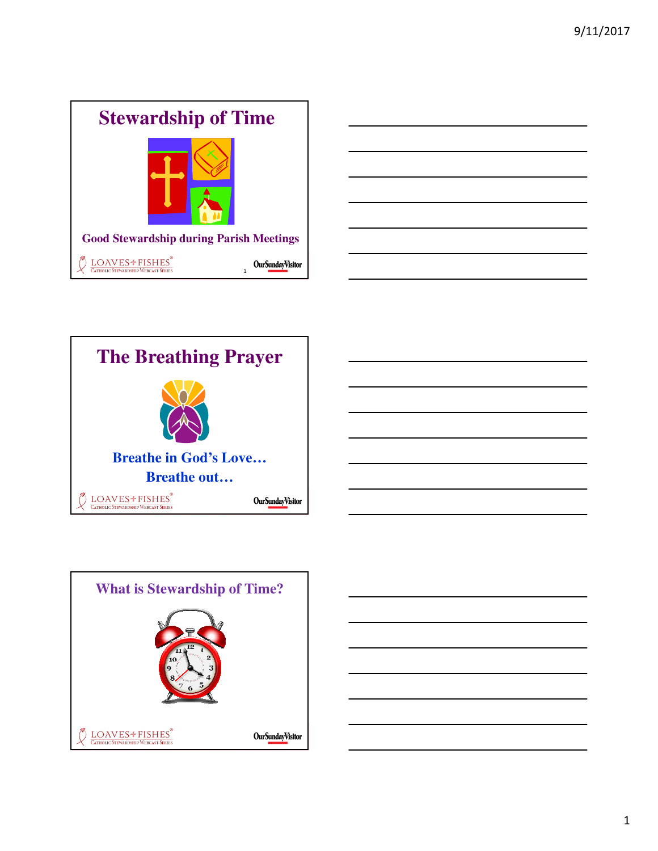





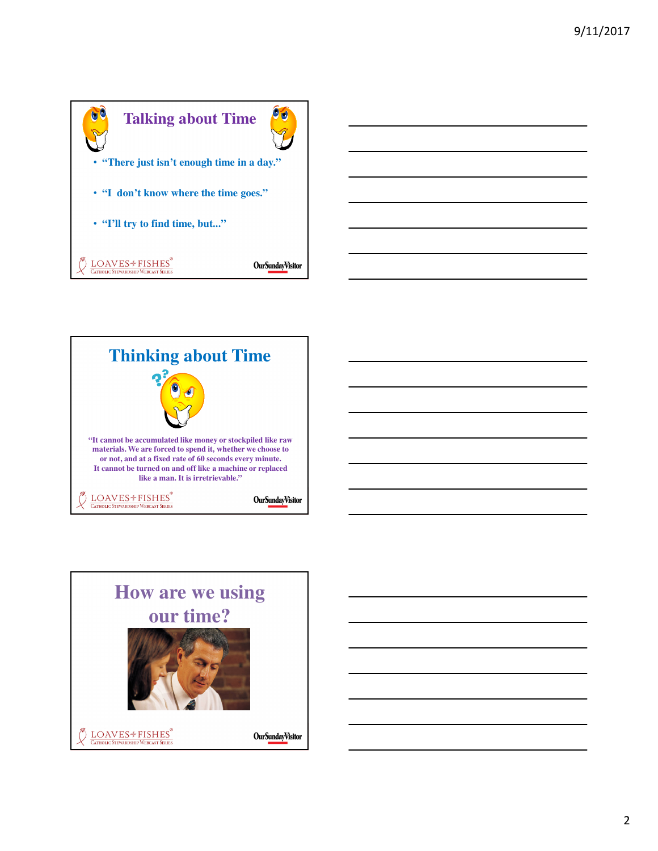



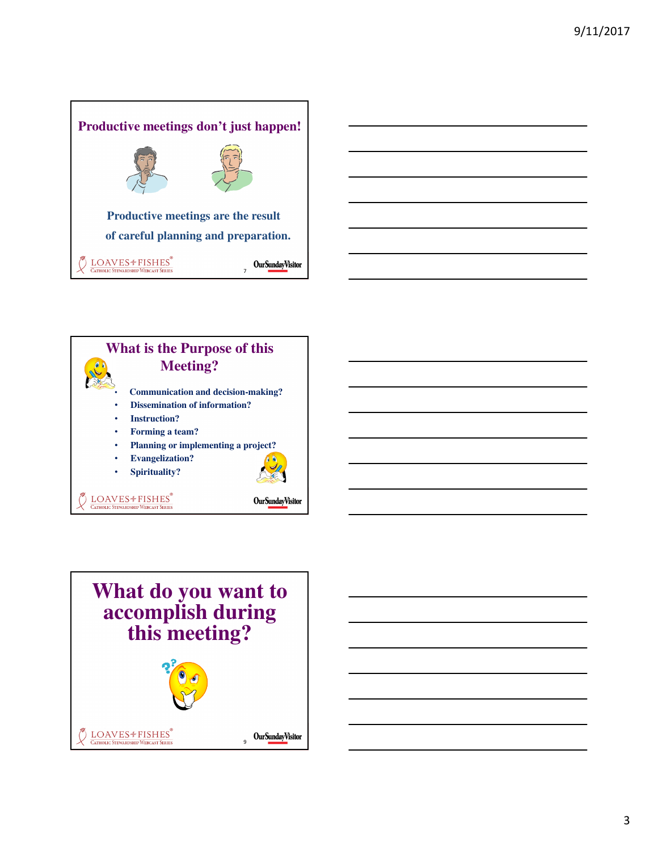





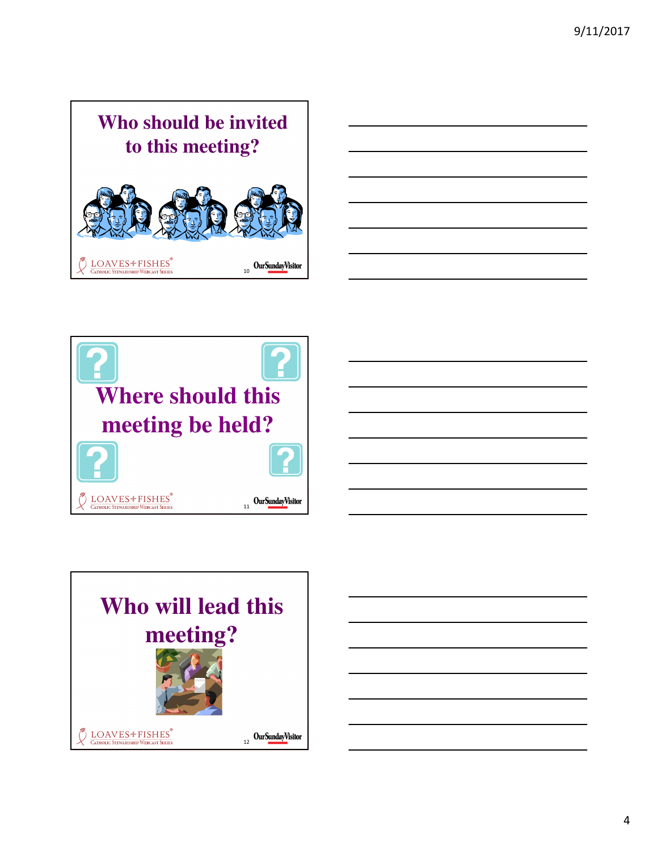

| $\sim$                   |                                                                                                                                                                      |  | $\sim$ |
|--------------------------|----------------------------------------------------------------------------------------------------------------------------------------------------------------------|--|--------|
| $\overline{\phantom{a}}$ |                                                                                                                                                                      |  |        |
|                          | ,我们的人们就会在这里,我们的人们就会在这里,我们的人们就会在这里,我们的人们就会在这里,我们的人们就会在这里,我们的人们就会在这里,我们的人们就会在这里,我们<br>第159章 我们的人们的人们,我们的人们的人们的人们,我们的人们的人们的人们的人们的人们,我们的人们的人们的人们,我们的人们的人们的人们,我们的人们的人们的人们 |  | ______ |
| —                        |                                                                                                                                                                      |  | __     |
|                          |                                                                                                                                                                      |  |        |



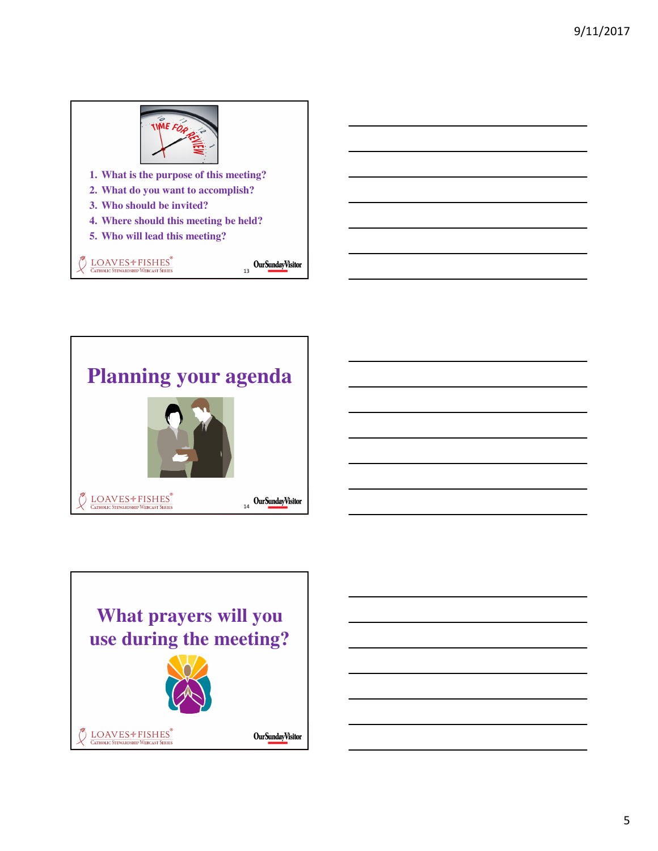



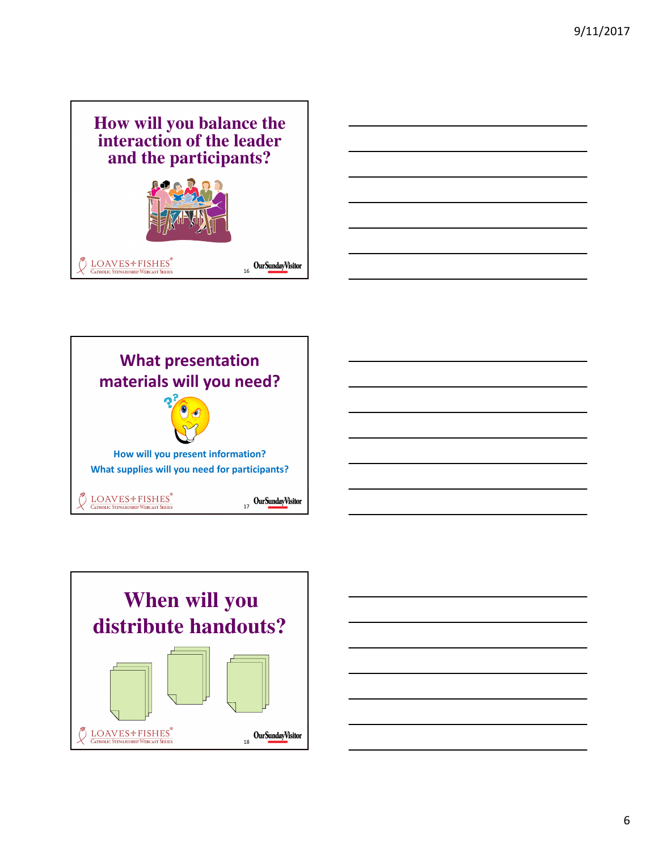







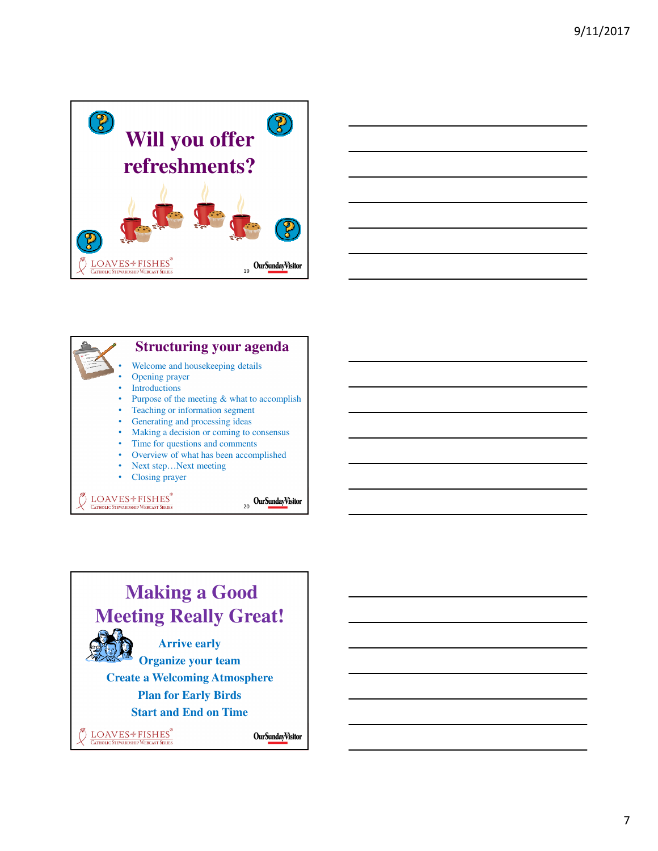





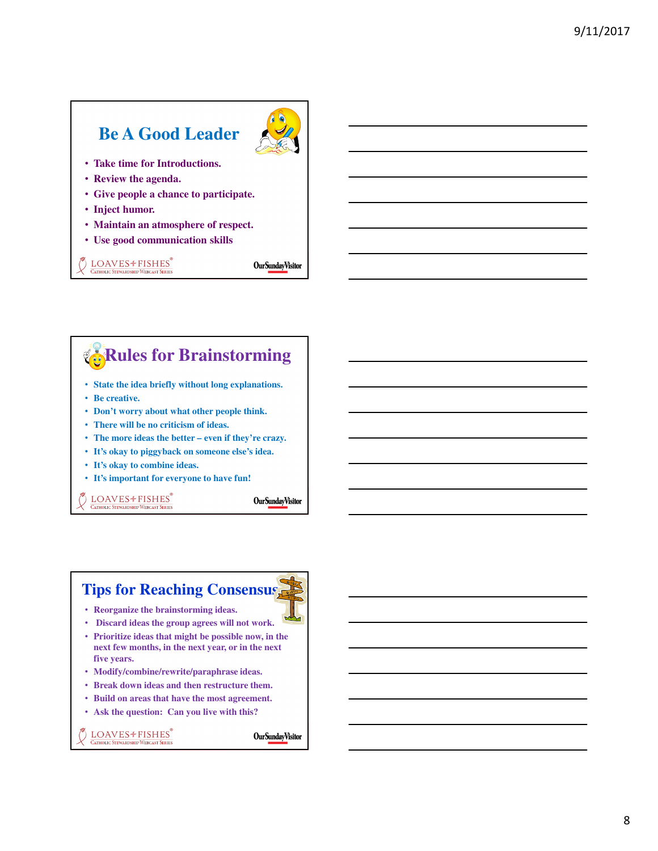## **Be A Good Leader**



- **Take time for Introductions.**
- **Review the agenda.**
- **Give people a chance to participate.**
- **Inject humor.**
- **Maintain an atmosphere of respect.**
- **Use good communication skills**

## LOAVES<sup>+</sup>FISHES® **CATHOLIC STEWARDSHIP WEBCAST SERIES**

**OurSundayVisitor** 

## • **State the idea briefly without long explanations.** • **Be creative.**  • **Don't worry about what other people think.** • **There will be no criticism of ideas. Rules for Brainstorming**

- **The more ideas the better even if they're crazy.**
- **It's okay to piggyback on someone else's idea.**
- **It's okay to combine ideas.**
- **It's important for everyone to have fun!**

LOAVES<sup>+</sup> FISHES® **CATHOLIC STEWARDSHIP WEBCAST SERIES** 

**OurSundayVisitor** 

## **Tips for Reaching Consensus**

- **Reorganize the brainstorming ideas.**
- **Discard ideas the group agrees will not work.**
- **Prioritize ideas that might be possible now, in the next few months, in the next year, or in the next five years.**
- **Modify/combine/rewrite/paraphrase ideas.**
- **Break down ideas and then restructure them.**
- **Build on areas that have the most agreement.**
- **Ask the question: Can you live with this?**

LOAVES<sup>+</sup>FISHES **CATHOLIC STEWARDSHIP WEBCAST SERIES** 

**OurSundayVisitor**